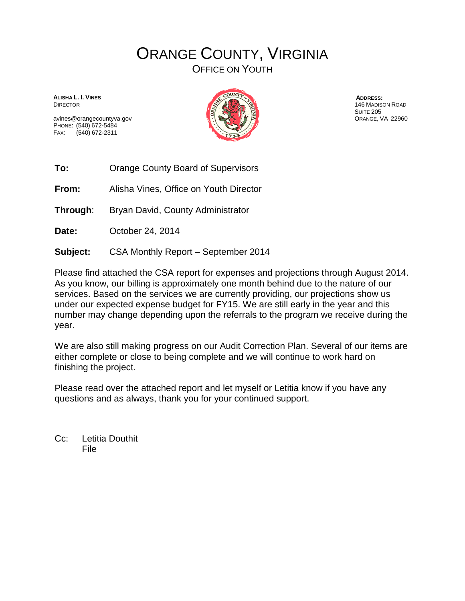## ORANGE COUNTY, VIRGINIA

OFFICE ON YOUTH

**ALISHA L. I. VINES** DIRECTOR

avines@orangecountyva.gov PHONE: (540) 672-5484 FAX: (540) 672-2311



**ADDRESS:** 146 MADISON ROAD **SUITE 205** ORANGE, VA 22960

**To:** Orange County Board of Supervisors

**From:** Alisha Vines, Office on Youth Director

**Through**: Bryan David, County Administrator

**Date:** October 24, 2014

**Subject:** CSA Monthly Report – September 2014

Please find attached the CSA report for expenses and projections through August 2014. As you know, our billing is approximately one month behind due to the nature of our services. Based on the services we are currently providing, our projections show us under our expected expense budget for FY15. We are still early in the year and this number may change depending upon the referrals to the program we receive during the year.

We are also still making progress on our Audit Correction Plan. Several of our items are either complete or close to being complete and we will continue to work hard on finishing the project.

Please read over the attached report and let myself or Letitia know if you have any questions and as always, thank you for your continued support.

Cc: Letitia Douthit File